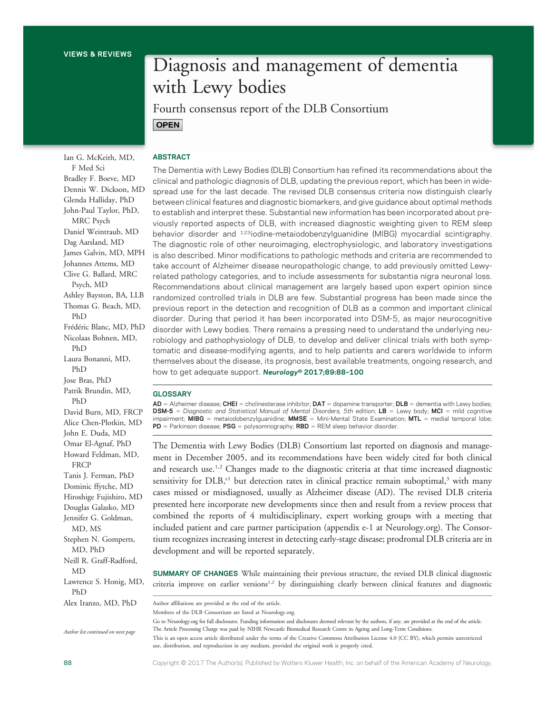# Diagnosis and management of dementia with Lewy bodies

Fourth consensus report of the DLB Consortium **OPEN** 

Ian G. McKeith, MD, F Med Sci Bradley F. Boeve, MD Dennis W. Dickson, MD Glenda Halliday, PhD John-Paul Taylor, PhD, MRC Psych Daniel Weintraub, MD Dag Aarsland, MD James Galvin, MD, MPH Johannes Attems, MD Clive G. Ballard, MRC Psych, MD Ashley Bayston, BA, LLB Thomas G. Beach, MD, PhD Frédéric Blanc, MD, PhD Nicolaas Bohnen, MD, PhD Laura Bonanni, MD, PhD Jose Bras, PhD Patrik Brundin, MD, PhD David Burn, MD, FRCP Alice Chen-Plotkin, MD John E. Duda, MD Omar El-Agnaf, PhD Howard Feldman, MD, **FRCP** Tanis J. Ferman, PhD Dominic ffytche, MD Hiroshige Fujishiro, MD Douglas Galasko, MD Jennifer G. Goldman, MD, MS Stephen N. Gomperts, MD, PhD Neill R. Graff-Radford, MD Lawrence S. Honig, MD, PhD

Alex Iranzo, MD, PhD

# ABSTRACT

The Dementia with Lewy Bodies (DLB) Consortium has refined its recommendations about the clinical and pathologic diagnosis of DLB, updating the previous report, which has been in widespread use for the last decade. The revised DLB consensus criteria now distinguish clearly between clinical features and diagnostic biomarkers, and give guidance about optimal methods to establish and interpret these. Substantial new information has been incorporated about previously reported aspects of DLB, with increased diagnostic weighting given to REM sleep behavior disorder and 123iodine-metaiodobenzylguanidine (MIBG) myocardial scintigraphy. The diagnostic role of other neuroimaging, electrophysiologic, and laboratory investigations is also described. Minor modifications to pathologic methods and criteria are recommended to take account of Alzheimer disease neuropathologic change, to add previously omitted Lewyrelated pathology categories, and to include assessments for substantia nigra neuronal loss. Recommendations about clinical management are largely based upon expert opinion since randomized controlled trials in DLB are few. Substantial progress has been made since the previous report in the detection and recognition of DLB as a common and important clinical disorder. During that period it has been incorporated into DSM-5, as major neurocognitive disorder with Lewy bodies. There remains a pressing need to understand the underlying neurobiology and pathophysiology of DLB, to develop and deliver clinical trials with both symptomatic and disease-modifying agents, and to help patients and carers worldwide to inform themselves about the disease, its prognosis, best available treatments, ongoing research, and how to get adequate support. Neurology® 2017;89:88-100

# **GLOSSARY**

 $AD =$  Alzheimer disease; CHEI = cholinesterase inhibitor;  $DATA =$  dopamine transporter;  $DLB =$  dementia with Lewy bodies; **DSM-5** = Diagnostic and Statistical Manual of Mental Disorders, 5th edition; LB = Lewy body; MCI = mild cognitive impairment; MIBG = metaiodobenzylguanidine; MMSE = Mini-Mental State Examination; MTL = medial temporal lobe;  $PD =$  Parkinson disease;  $PSG =$  polysomnography; RBD = REM sleep behavior disorder.

The Dementia with Lewy Bodies (DLB) Consortium last reported on diagnosis and management in December 2005, and its recommendations have been widely cited for both clinical and research use.<sup>1,2</sup> Changes made to the diagnostic criteria at that time increased diagnostic sensitivity for DLB,<sup>e1</sup> but detection rates in clinical practice remain suboptimal,<sup>3</sup> with many cases missed or misdiagnosed, usually as Alzheimer disease (AD). The revised DLB criteria presented here incorporate new developments since then and result from a review process that combined the reports of 4 multidisciplinary, expert working groups with a meeting that included patient and care partner participation (appendix e-1 at [Neurology.org](http://neurology.org/lookup/doi/10.1212/WNL.0000000000004058)). The Consortium recognizes increasing interest in detecting early-stage disease; prodromal DLB criteria are in development and will be reported separately.

SUMMARY OF CHANGES While maintaining their previous structure, the revised DLB clinical diagnostic criteria improve on earlier versions<sup>1,2</sup> by distinguishing clearly between clinical features and diagnostic

Members of the DLB Consortium are listed at [Neurology.org](http://neurology.org/lookup/doi/10.1212/WNL.0000000000004058).

Go to [Neurology.org](http://neurology.org/lookup/doi/10.1212/WNL.0000000000004058) for full disclosures. Funding information and disclosures deemed relevant by the authors, if any, are provided at the end of the article. The Article Processing Charge was paid by NIHR Newcastle Biomedical Research Centre in Ageing and Long-Term Conditions.

This is an open access article distributed under the terms of the [Creative Commons Attribution License 4.0 \(CC BY\),](http://creativecommons.org/licenses/by/4.0/) which permits unrestricted use, distribution, and reproduction in any medium, provided the original work is properly cited.

Author affiliations are provided at the end of the article.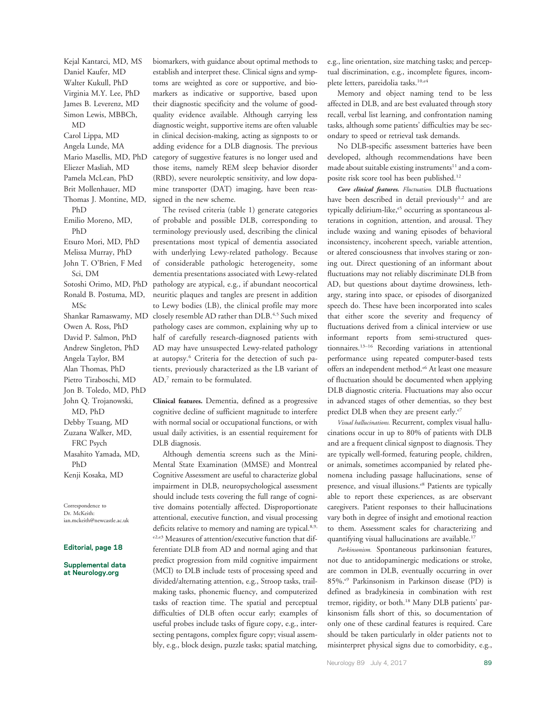Kejal Kantarci, MD, MS Daniel Kaufer, MD Walter Kukull, PhD Virginia M.Y. Lee, PhD James B. Leverenz, MD Simon Lewis, MBBCh, MD Carol Lippa, MD Angela Lunde, MA Mario Masellis, MD, PhD Eliezer Masliah, MD Pamela McLean, PhD Brit Mollenhauer, MD Thomas J. Montine, MD, PhD Emilio Moreno, MD, PhD Etsuro Mori, MD, PhD Melissa Murray, PhD John T. O'Brien, F Med Sci, DM Sotoshi Orimo, MD, PhD Ronald B. Postuma, MD, MSc Owen A. Ross, PhD David P. Salmon, PhD Andrew Singleton, PhD Angela Taylor, BM Alan Thomas, PhD Pietro Tiraboschi, MD Jon B. Toledo, MD, PhD John Q. Trojanowski, MD, PhD Debby Tsuang, MD Zuzana Walker, MD, FRC Psych Masahito Yamada, MD, PhD Kenji Kosaka, MD

Correspondence to Dr. McKeith: [ian.mckeith@newcastle.ac.uk](mailto:ian.mckeith@newcastle.ac.uk)

# Editorial, page 18

Supplemental data at [Neurology.org](http://neurology.org/lookup/doi/10.1212/WNL.0000000000004058)

biomarkers, with guidance about optimal methods to establish and interpret these. Clinical signs and symptoms are weighted as core or supportive, and biomarkers as indicative or supportive, based upon their diagnostic specificity and the volume of goodquality evidence available. Although carrying less diagnostic weight, supportive items are often valuable in clinical decision-making, acting as signposts to or adding evidence for a DLB diagnosis. The previous category of suggestive features is no longer used and those items, namely REM sleep behavior disorder (RBD), severe neuroleptic sensitivity, and low dopamine transporter (DAT) imaging, have been reassigned in the new scheme.

The revised criteria (table 1) generate categories of probable and possible DLB, corresponding to terminology previously used, describing the clinical presentations most typical of dementia associated with underlying Lewy-related pathology. Because of considerable pathologic heterogeneity, some dementia presentations associated with Lewy-related pathology are atypical, e.g., if abundant neocortical neuritic plaques and tangles are present in addition to Lewy bodies (LB), the clinical profile may more Shankar Ramaswamy, MD closely resemble AD rather than DLB.<sup>4,5</sup> Such mixed pathology cases are common, explaining why up to half of carefully research-diagnosed patients with AD may have unsuspected Lewy-related pathology at autopsy.6 Criteria for the detection of such patients, previously characterized as the LB variant of AD,7 remain to be formulated.

> Clinical features. Dementia, defined as a progressive cognitive decline of sufficient magnitude to interfere with normal social or occupational functions, or with usual daily activities, is an essential requirement for DLB diagnosis.

> Although dementia screens such as the Mini-Mental State Examination (MMSE) and Montreal Cognitive Assessment are useful to characterize global impairment in DLB, neuropsychological assessment should include tests covering the full range of cognitive domains potentially affected. Disproportionate attentional, executive function, and visual processing deficits relative to memory and naming are typical.<sup>8,9,</sup> e2,e3 Measures of attention/executive function that differentiate DLB from AD and normal aging and that predict progression from mild cognitive impairment (MCI) to DLB include tests of processing speed and divided/alternating attention, e.g., Stroop tasks, trailmaking tasks, phonemic fluency, and computerized tasks of reaction time. The spatial and perceptual difficulties of DLB often occur early; examples of useful probes include tasks of figure copy, e.g., intersecting pentagons, complex figure copy; visual assembly, e.g., block design, puzzle tasks; spatial matching,

e.g., line orientation, size matching tasks; and perceptual discrimination, e.g., incomplete figures, incomplete letters, pareidolia tasks.<sup>10,e4</sup>

Memory and object naming tend to be less affected in DLB, and are best evaluated through story recall, verbal list learning, and confrontation naming tasks, although some patients' difficulties may be secondary to speed or retrieval task demands.

No DLB-specific assessment batteries have been developed, although recommendations have been made about suitable existing instruments $11$  and a composite risk score tool has been published.12

Core clinical features. Fluctuation. DLB fluctuations have been described in detail previously<sup>1,2</sup> and are typically delirium-like,<sup>e5</sup> occurring as spontaneous alterations in cognition, attention, and arousal. They include waxing and waning episodes of behavioral inconsistency, incoherent speech, variable attention, or altered consciousness that involves staring or zoning out. Direct questioning of an informant about fluctuations may not reliably discriminate DLB from AD, but questions about daytime drowsiness, lethargy, staring into space, or episodes of disorganized speech do. These have been incorporated into scales that either score the severity and frequency of fluctuations derived from a clinical interview or use informant reports from semi-structured questionnaires.13–<sup>16</sup> Recording variations in attentional performance using repeated computer-based tests offers an independent method.<sup>e6</sup> At least one measure of fluctuation should be documented when applying DLB diagnostic criteria. Fluctuations may also occur in advanced stages of other dementias, so they best predict DLB when they are present early.<sup>e7</sup>

Visual hallucinations. Recurrent, complex visual hallucinations occur in up to 80% of patients with DLB and are a frequent clinical signpost to diagnosis. They are typically well-formed, featuring people, children, or animals, sometimes accompanied by related phenomena including passage hallucinations, sense of presence, and visual illusions.<sup>e8</sup> Patients are typically able to report these experiences, as are observant caregivers. Patient responses to their hallucinations vary both in degree of insight and emotional reaction to them. Assessment scales for characterizing and quantifying visual hallucinations are available.<sup>17</sup>

Parkinsonism. Spontaneous parkinsonian features, not due to antidopaminergic medications or stroke, are common in DLB, eventually occurring in over 85%.<sup>e9</sup> Parkinsonism in Parkinson disease (PD) is defined as bradykinesia in combination with rest tremor, rigidity, or both.<sup>18</sup> Many DLB patients' parkinsonism falls short of this, so documentation of only one of these cardinal features is required. Care should be taken particularly in older patients not to misinterpret physical signs due to comorbidity, e.g.,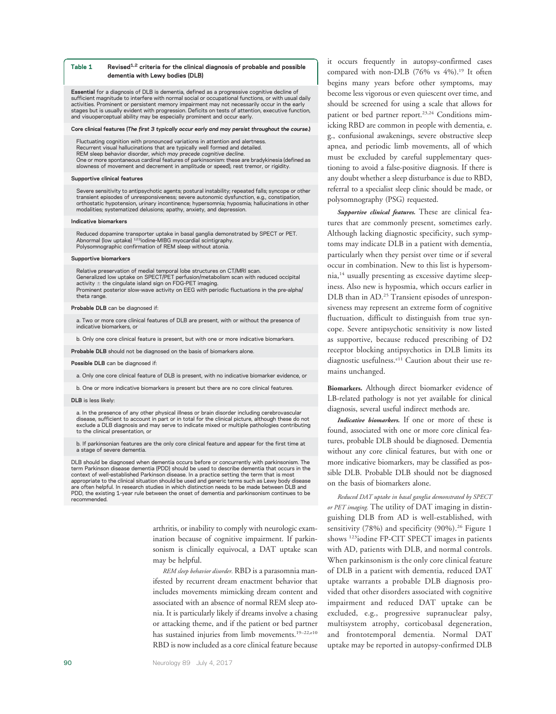# Table  $1$  Revised<sup>1,2</sup> criteria for the clinical diagnosis of probable and possible dementia with Lewy bodies (DLB)

Essential for a diagnosis of DLB is dementia, defined as a progressive cognitive decline of sufficient magnitude to interfere with normal social or occupational functions, or with usual daily activities. Prominent or persistent memory impairment may not necessarily occur in the early stages but is usually evident with progression. Deficits on tests of attention, executive function, and visuoperceptual ability may be especially prominent and occur early.

#### Core clinical features (The first 3 typically occur early and may persist throughout the course.)

Fluctuating cognition with pronounced variations in attention and alertness. Recurrent visual hallucinations that are typically well formed and detailed. REM sleep behavior disorder, which may precede cognitive decline. One or more spontaneous cardinal features of parkinsonism: these are bradykinesia (defined as slowness of movement and decrement in amplitude or speed), rest tremor, or rigidity.

#### Supportive clinical features

Severe sensitivity to antipsychotic agents; postural instability; repeated falls; syncope or other transient episodes of unresponsiveness; severe autonomic dysfunction, e.g., constipation, orthostatic hypotension, urinary incontinence; hypersomnia; hyposmia; hallucinations in other modalities; systematized delusions; apathy, anxiety, and depression.

#### Indicative biomarkers

Reduced dopamine transporter uptake in basal ganglia demonstrated by SPECT or PET.<br>Abnormal (low uptake) <sup>123</sup>iodine-MIBG myocardial scintigraphy.<br>Polysomnographic confirmation of REM sleep without atonia.

#### Supportive biomarkers

Relative preservation of medial temporal lobe structures on CT/MRI scan.<br>Generalized low uptake on SPECT/PET perfusion/metabolism scan with reduced occipital<br>activity ± the cingulate island sign on FDG-PET imaging.<br>Promine theta range.

#### Probable DLB can be diagnosed if:

a. Two or more core clinical features of DLB are present, with or without the presence of indicative biomarkers, or

b. Only one core clinical feature is present, but with one or more indicative biomarkers.

Probable DLB should not be diagnosed on the basis of biomarkers alone.

#### Possible DLB can be diagnosed if:

a. Only one core clinical feature of DLB is present, with no indicative biomarker evidence, or

b. One or more indicative biomarkers is present but there are no core clinical features.

#### DLB is less likely:

a. In the presence of any other physical illness or brain disorder including cerebrovascular disease, sufficient to account in part or in total for the clinical picture, although these do not exclude a DLB diagnosis and may serve to indicate mixed or multiple pathologies contributing to the clinical presentation, or

b. If parkinsonian features are the only core clinical feature and appear for the first time at a stage of severe dementia.

DLB should be diagnosed when dementia occurs before or concurrently with parkinsonism. The term Parkinson disease dementia (PDD) should be used to describe dementia that occurs in the context of well-established Parkinson disease. In a practice setting the term that is most appropriate to the clinical situation should be used and generic terms such as Lewy body disease are often helpful. In research studies in which distinction needs to be made between DLB and PDD, the existing 1-year rule between the onset of dementia and parkinsonism continues to be recommended.

> arthritis, or inability to comply with neurologic examination because of cognitive impairment. If parkinsonism is clinically equivocal, a DAT uptake scan may be helpful.

> REM sleep behavior disorder. RBD is a parasomnia manifested by recurrent dream enactment behavior that includes movements mimicking dream content and associated with an absence of normal REM sleep atonia. It is particularly likely if dreams involve a chasing or attacking theme, and if the patient or bed partner has sustained injuries from limb movements.<sup>19-22,e10</sup> RBD is now included as a core clinical feature because

it occurs frequently in autopsy-confirmed cases compared with non-DLB (76% vs 4%).<sup>19</sup> It often begins many years before other symptoms, may become less vigorous or even quiescent over time, and should be screened for using a scale that allows for patient or bed partner report.<sup>23,24</sup> Conditions mimicking RBD are common in people with dementia, e. g., confusional awakenings, severe obstructive sleep apnea, and periodic limb movements, all of which must be excluded by careful supplementary questioning to avoid a false-positive diagnosis. If there is any doubt whether a sleep disturbance is due to RBD, referral to a specialist sleep clinic should be made, or polysomnography (PSG) requested.

Supportive clinical features. These are clinical features that are commonly present, sometimes early. Although lacking diagnostic specificity, such symptoms may indicate DLB in a patient with dementia, particularly when they persist over time or if several occur in combination. New to this list is hypersom $nia$ ,<sup>14</sup> usually presenting as excessive daytime sleepiness. Also new is hyposmia, which occurs earlier in DLB than in AD.<sup>25</sup> Transient episodes of unresponsiveness may represent an extreme form of cognitive fluctuation, difficult to distinguish from true syncope. Severe antipsychotic sensitivity is now listed as supportive, because reduced prescribing of D2 receptor blocking antipsychotics in DLB limits its diagnostic usefulness.<sup>e11</sup> Caution about their use remains unchanged.

Biomarkers. Although direct biomarker evidence of LB-related pathology is not yet available for clinical diagnosis, several useful indirect methods are.

Indicative biomarkers. If one or more of these is found, associated with one or more core clinical features, probable DLB should be diagnosed. Dementia without any core clinical features, but with one or more indicative biomarkers, may be classified as possible DLB. Probable DLB should not be diagnosed on the basis of biomarkers alone.

Reduced DAT uptake in basal ganglia demonstrated by SPECT or PET imaging. The utility of DAT imaging in distinguishing DLB from AD is well-established, with sensitivity (78%) and specificity (90%).<sup>26</sup> Figure 1 shows 123iodine FP-CIT SPECT images in patients with AD, patients with DLB, and normal controls. When parkinsonism is the only core clinical feature of DLB in a patient with dementia, reduced DAT uptake warrants a probable DLB diagnosis provided that other disorders associated with cognitive impairment and reduced DAT uptake can be excluded, e.g., progressive supranuclear palsy, multisystem atrophy, corticobasal degeneration, and frontotemporal dementia. Normal DAT uptake may be reported in autopsy-confirmed DLB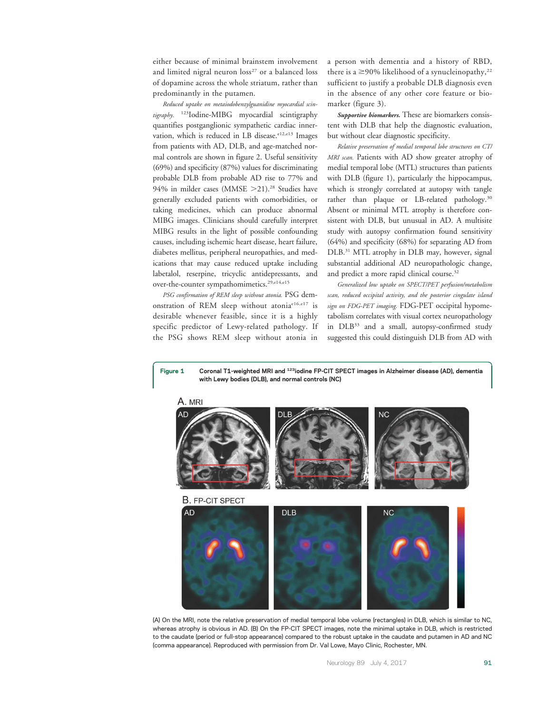either because of minimal brainstem involvement and limited nigral neuron loss<sup>27</sup> or a balanced loss of dopamine across the whole striatum, rather than predominantly in the putamen.

Reduced uptake on metaiodobenzylguanidine myocardial scintigraphy. <sup>123</sup>Iodine-MIBG myocardial scintigraphy quantifies postganglionic sympathetic cardiac innervation, which is reduced in LB disease.<sup>e12,e13</sup> Images from patients with AD, DLB, and age-matched normal controls are shown in figure 2. Useful sensitivity (69%) and specificity (87%) values for discriminating probable DLB from probable AD rise to 77% and 94% in milder cases (MMSE  $>$ 21).<sup>28</sup> Studies have generally excluded patients with comorbidities, or taking medicines, which can produce abnormal MIBG images. Clinicians should carefully interpret MIBG results in the light of possible confounding causes, including ischemic heart disease, heart failure, diabetes mellitus, peripheral neuropathies, and medications that may cause reduced uptake including labetalol, reserpine, tricyclic antidepressants, and over-the-counter sympathomimetics.<sup>29,e14,e15</sup>

PSG confirmation of REM sleep without atonia. PSG demonstration of REM sleep without atoniae16,e17 is desirable whenever feasible, since it is a highly specific predictor of Lewy-related pathology. If the PSG shows REM sleep without atonia in a person with dementia and a history of RBD, there is a  $\geq$ 90% likelihood of a synucleinopathy,<sup>22</sup> sufficient to justify a probable DLB diagnosis even in the absence of any other core feature or biomarker (figure 3).

Supportive biomarkers. These are biomarkers consistent with DLB that help the diagnostic evaluation, but without clear diagnostic specificity.

Relative preservation of medial temporal lobe structures on CT/ MRI scan. Patients with AD show greater atrophy of medial temporal lobe (MTL) structures than patients with DLB (figure 1), particularly the hippocampus, which is strongly correlated at autopsy with tangle rather than plaque or LB-related pathology.<sup>30</sup> Absent or minimal MTL atrophy is therefore consistent with DLB, but unusual in AD. A multisite study with autopsy confirmation found sensitivity (64%) and specificity (68%) for separating AD from DLB.31 MTL atrophy in DLB may, however, signal substantial additional AD neuropathologic change, and predict a more rapid clinical course.<sup>32</sup>

Generalized low uptake on SPECT/PET perfusion/metabolism scan, reduced occipital activity, and the posterior cingulate island sign on FDG-PET imaging. FDG-PET occipital hypometabolism correlates with visual cortex neuropathology in DLB<sup>33</sup> and a small, autopsy-confirmed study suggested this could distinguish DLB from AD with





(A) On the MRI, note the relative preservation of medial temporal lobe volume (rectangles) in DLB, which is similar to NC, whereas atrophy is obvious in AD. (B) On the FP-CIT SPECT images, note the minimal uptake in DLB, which is restricted to the caudate (period or full-stop appearance) compared to the robust uptake in the caudate and putamen in AD and NC (comma appearance). Reproduced with permission from Dr. Val Lowe, Mayo Clinic, Rochester, MN.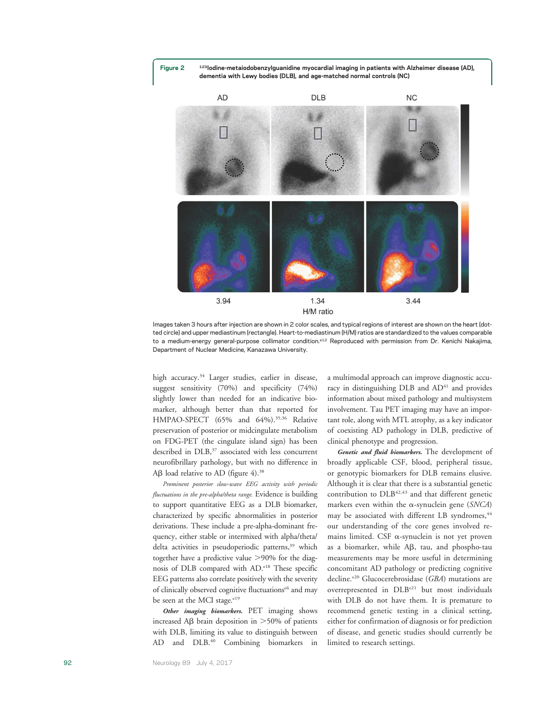Figure 2 123Iodine-metaiodobenzylguanidine myocardial imaging in patients with Alzheimer disease (AD), dementia with Lewy bodies (DLB), and age-matched normal controls (NC)



Images taken 3 hours after injection are shown in 2 color scales, and typical regions of interest are shown on the heart (dotted circle) and upper mediastinum (rectangle). Heart-to-mediastinum (H/M) ratios are standardized to the values comparable to a medium-energy general-purpose collimator condition.<sup>e12</sup> Reproduced with permission from Dr. Kenichi Nakajima, Department of Nuclear Medicine, Kanazawa University.

high accuracy.34 Larger studies, earlier in disease, suggest sensitivity (70%) and specificity (74%) slightly lower than needed for an indicative biomarker, although better than that reported for HMPAO-SPECT (65% and 64%).<sup>35,36</sup> Relative preservation of posterior or midcingulate metabolism on FDG-PET (the cingulate island sign) has been described in DLB,<sup>37</sup> associated with less concurrent neurofibrillary pathology, but with no difference in A $\beta$  load relative to AD (figure 4).<sup>38</sup>

Prominent posterior slow-wave EEG activity with periodic fluctuations in the pre-alpha/theta range. Evidence is building to support quantitative EEG as a DLB biomarker, characterized by specific abnormalities in posterior derivations. These include a pre-alpha-dominant frequency, either stable or intermixed with alpha/theta/ delta activities in pseudoperiodic patterns,<sup>39</sup> which together have a predictive value  $>$ 90% for the diagnosis of DLB compared with AD.<sup>e18</sup> These specific EEG patterns also correlate positively with the severity of clinically observed cognitive fluctuations<sup>e6</sup> and may be seen at the MCI stage.<sup>e19</sup>

Other imaging biomarkers. PET imaging shows increased A $\beta$  brain deposition in  $>50\%$  of patients with DLB, limiting its value to distinguish between AD and DLB.40 Combining biomarkers in a multimodal approach can improve diagnostic accuracy in distinguishing DLB and AD<sup>41</sup> and provides information about mixed pathology and multisystem involvement. Tau PET imaging may have an important role, along with MTL atrophy, as a key indicator of coexisting AD pathology in DLB, predictive of clinical phenotype and progression.

Genetic and fluid biomarkers. The development of broadly applicable CSF, blood, peripheral tissue, or genotypic biomarkers for DLB remains elusive. Although it is clear that there is a substantial genetic contribution to  $DLB^{42,43}$  and that different genetic markers even within the  $\alpha$ -synuclein gene (SNCA) may be associated with different LB syndromes,<sup>44</sup> our understanding of the core genes involved remains limited. CSF  $\alpha$ -synuclein is not yet proven as a biomarker, while  $\mathsf{A}\mathsf{B}$ , tau, and phospho-tau measurements may be more useful in determining concomitant AD pathology or predicting cognitive decline.<sup>e20</sup> Glucocerebrosidase (GBA) mutations are overrepresented in DLBe21 but most individuals with DLB do not have them. It is premature to recommend genetic testing in a clinical setting, either for confirmation of diagnosis or for prediction of disease, and genetic studies should currently be limited to research settings.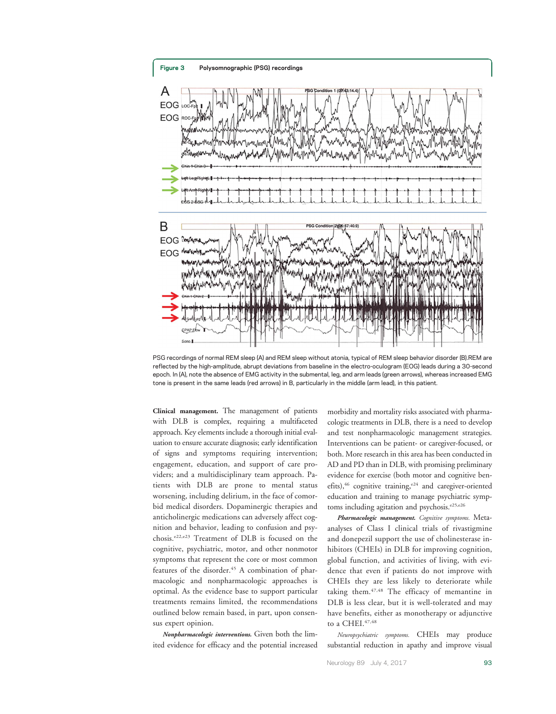

PSG recordings of normal REM sleep (A) and REM sleep without atonia, typical of REM sleep behavior disorder (B).REM are reflected by the high-amplitude, abrupt deviations from baseline in the electro-oculogram (EOG) leads during a 30-second epoch. In (A), note the absence of EMG activity in the submental, leg, and arm leads (green arrows), whereas increased EMG tone is present in the same leads (red arrows) in B, particularly in the middle (arm lead), in this patient.

Clinical management. The management of patients with DLB is complex, requiring a multifaceted approach. Key elements include a thorough initial evaluation to ensure accurate diagnosis; early identification of signs and symptoms requiring intervention; engagement, education, and support of care providers; and a multidisciplinary team approach. Patients with DLB are prone to mental status worsening, including delirium, in the face of comorbid medical disorders. Dopaminergic therapies and anticholinergic medications can adversely affect cognition and behavior, leading to confusion and psychosis.e22,e23 Treatment of DLB is focused on the cognitive, psychiatric, motor, and other nonmotor symptoms that represent the core or most common features of the disorder.<sup>45</sup> A combination of pharmacologic and nonpharmacologic approaches is optimal. As the evidence base to support particular treatments remains limited, the recommendations outlined below remain based, in part, upon consensus expert opinion.

Nonpharmacologic interventions. Given both the limited evidence for efficacy and the potential increased

morbidity and mortality risks associated with pharmacologic treatments in DLB, there is a need to develop and test nonpharmacologic management strategies. Interventions can be patient- or caregiver-focused, or both. More research in this area has been conducted in AD and PD than in DLB, with promising preliminary evidence for exercise (both motor and cognitive benefits), $46$  cognitive training, $e^{24}$  and caregiver-oriented education and training to manage psychiatric symptoms including agitation and psychosis.<sup>e25,e26</sup>

Pharmacologic management. Cognitive symptoms. Metaanalyses of Class I clinical trials of rivastigmine and donepezil support the use of cholinesterase inhibitors (CHEIs) in DLB for improving cognition, global function, and activities of living, with evidence that even if patients do not improve with CHEIs they are less likely to deteriorate while taking them.47,48 The efficacy of memantine in DLB is less clear, but it is well-tolerated and may have benefits, either as monotherapy or adjunctive to a CHEI.47,48

Neuropsychiatric symptoms. CHEIs may produce substantial reduction in apathy and improve visual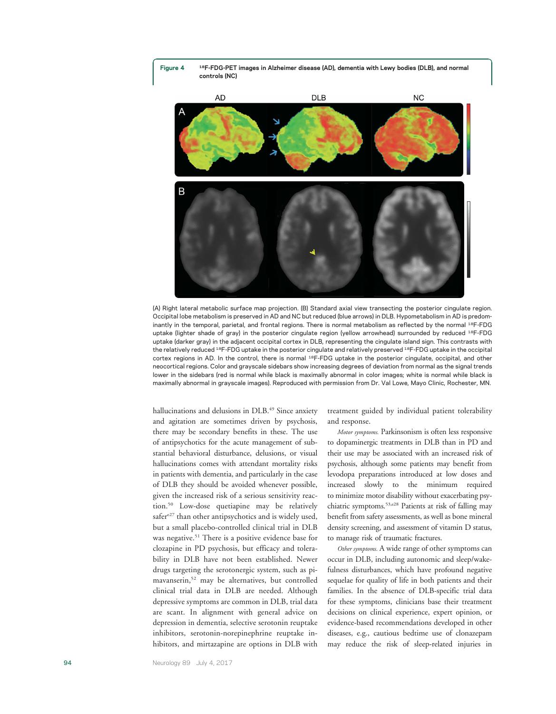Figure 4 18F-FDG-PET images in Alzheimer disease (AD), dementia with Lewy bodies (DLB), and normal controls (NC)



(A) Right lateral metabolic surface map projection. (B) Standard axial view transecting the posterior cingulate region. Occipital lobe metabolism is preserved in AD and NC but reduced (blue arrows) in DLB. Hypometabolism in AD is predominantly in the temporal, parietal, and frontal regions. There is normal metabolism as reflected by the normal 18F-FDG uptake (lighter shade of gray) in the posterior cingulate region (yellow arrowhead) surrounded by reduced <sup>18</sup>F-FDG uptake (darker gray) in the adjacent occipital cortex in DLB, representing the cingulate island sign. This contrasts with the relatively reduced 18F-FDG uptake in the posterior cingulate and relatively preserved 18F-FDG uptake in the occipital cortex regions in AD. In the control, there is normal <sup>18</sup>F-FDG uptake in the posterior cingulate, occipital, and other neocortical regions. Color and grayscale sidebars show increasing degrees of deviation from normal as the signal trends lower in the sidebars (red is normal while black is maximally abnormal in color images; white is normal while black is maximally abnormal in grayscale images). Reproduced with permission from Dr. Val Lowe, Mayo Clinic, Rochester, MN.

hallucinations and delusions in DLB.<sup>49</sup> Since anxiety and agitation are sometimes driven by psychosis, there may be secondary benefits in these. The use of antipsychotics for the acute management of substantial behavioral disturbance, delusions, or visual hallucinations comes with attendant mortality risks in patients with dementia, and particularly in the case of DLB they should be avoided whenever possible, given the increased risk of a serious sensitivity reaction.50 Low-dose quetiapine may be relatively safer<sup>e27</sup> than other antipsychotics and is widely used, but a small placebo-controlled clinical trial in DLB was negative.<sup>51</sup> There is a positive evidence base for clozapine in PD psychosis, but efficacy and tolerability in DLB have not been established. Newer drugs targeting the serotonergic system, such as pimavanserin,52 may be alternatives, but controlled clinical trial data in DLB are needed. Although depressive symptoms are common in DLB, trial data are scant. In alignment with general advice on depression in dementia, selective serotonin reuptake inhibitors, serotonin-norepinephrine reuptake inhibitors, and mirtazapine are options in DLB with treatment guided by individual patient tolerability and response.

Motor symptoms. Parkinsonism is often less responsive to dopaminergic treatments in DLB than in PD and their use may be associated with an increased risk of psychosis, although some patients may benefit from levodopa preparations introduced at low doses and increased slowly to the minimum required to minimize motor disability without exacerbating psychiatric symptoms.53,e28 Patients at risk of falling may benefit from safety assessments, as well as bone mineral density screening, and assessment of vitamin D status, to manage risk of traumatic fractures.

Other symptoms. A wide range of other symptoms can occur in DLB, including autonomic and sleep/wakefulness disturbances, which have profound negative sequelae for quality of life in both patients and their families. In the absence of DLB-specific trial data for these symptoms, clinicians base their treatment decisions on clinical experience, expert opinion, or evidence-based recommendations developed in other diseases, e.g., cautious bedtime use of clonazepam may reduce the risk of sleep-related injuries in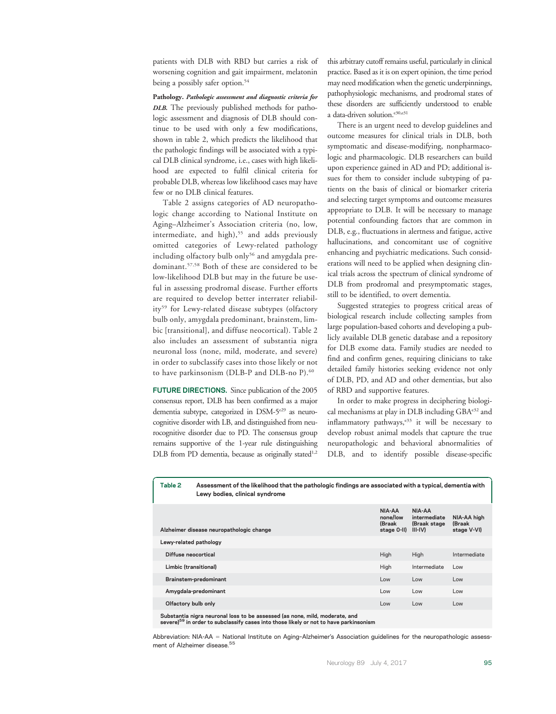patients with DLB with RBD but carries a risk of worsening cognition and gait impairment, melatonin being a possibly safer option.<sup>54</sup>

Pathology. Pathologic assessment and diagnostic criteria for DLB. The previously published methods for pathologic assessment and diagnosis of DLB should continue to be used with only a few modifications, shown in table 2, which predicts the likelihood that the pathologic findings will be associated with a typical DLB clinical syndrome, i.e., cases with high likelihood are expected to fulfil clinical criteria for probable DLB, whereas low likelihood cases may have few or no DLB clinical features.

Table 2 assigns categories of AD neuropathologic change according to National Institute on Aging–Alzheimer's Association criteria (no, low, intermediate, and high), $55$  and adds previously omitted categories of Lewy-related pathology including olfactory bulb only<sup>56</sup> and amygdala predominant.57,58 Both of these are considered to be low-likelihood DLB but may in the future be useful in assessing prodromal disease. Further efforts are required to develop better interrater reliability<sup>59</sup> for Lewy-related disease subtypes (olfactory bulb only, amygdala predominant, brainstem, limbic [transitional], and diffuse neocortical). Table 2 also includes an assessment of substantia nigra neuronal loss (none, mild, moderate, and severe) in order to subclassify cases into those likely or not to have parkinsonism (DLB-P and DLB-no P).<sup>60</sup>

FUTURE DIRECTIONS. Since publication of the 2005 consensus report, DLB has been confirmed as a major dementia subtype, categorized in DSM-5<sup>e29</sup> as neurocognitive disorder with LB, and distinguished from neurocognitive disorder due to PD. The consensus group remains supportive of the 1-year rule distinguishing DLB from PD dementia, because as originally stated<sup>1,2</sup>

this arbitrary cutoff remains useful, particularly in clinical practice. Based as it is on expert opinion, the time period may need modification when the genetic underpinnings, pathophysiologic mechanisms, and prodromal states of these disorders are sufficiently understood to enable a data-driven solution.<sup>e30,e31</sup>

There is an urgent need to develop guidelines and outcome measures for clinical trials in DLB, both symptomatic and disease-modifying, nonpharmacologic and pharmacologic. DLB researchers can build upon experience gained in AD and PD; additional issues for them to consider include subtyping of patients on the basis of clinical or biomarker criteria and selecting target symptoms and outcome measures appropriate to DLB. It will be necessary to manage potential confounding factors that are common in DLB, e.g., fluctuations in alertness and fatigue, active hallucinations, and concomitant use of cognitive enhancing and psychiatric medications. Such considerations will need to be applied when designing clinical trials across the spectrum of clinical syndrome of DLB from prodromal and presymptomatic stages, still to be identified, to overt dementia.

Suggested strategies to progress critical areas of biological research include collecting samples from large population-based cohorts and developing a publicly available DLB genetic database and a repository for DLB exome data. Family studies are needed to find and confirm genes, requiring clinicians to take detailed family histories seeking evidence not only of DLB, PD, and AD and other dementias, but also of RBD and supportive features.

In order to make progress in deciphering biological mechanisms at play in DLB including GBA<sup>e32</sup> and inflammatory pathways,<sup>e33</sup> it will be necessary to develop robust animal models that capture the true neuropathologic and behavioral abnormalities of DLB, and to identify possible disease-specific

| Table 2<br>Assessment of the likelihood that the pathologic findings are associated with a typical, dementia with<br>Lewy bodies, clinical syndrome |                                          |                                                    |                                                    |                                      |  |
|-----------------------------------------------------------------------------------------------------------------------------------------------------|------------------------------------------|----------------------------------------------------|----------------------------------------------------|--------------------------------------|--|
|                                                                                                                                                     | Alzheimer disease neuropathologic change | <b>NIA-AA</b><br>none/low<br>(Braak<br>stage 0-II) | NIA-AA<br>intermediate<br>(Braak stage<br>$III-IV$ | NIA-AA high<br>(Braak<br>stage V-VI) |  |
| Lewy-related pathology                                                                                                                              |                                          |                                                    |                                                    |                                      |  |
| Diffuse neocortical                                                                                                                                 |                                          | High                                               | High                                               | Intermediate                         |  |
| Limbic (transitional)                                                                                                                               |                                          | High                                               | Intermediate                                       | Low                                  |  |
| Brainstem-predominant                                                                                                                               |                                          | Low                                                | Low                                                | Low                                  |  |
|                                                                                                                                                     | Amygdala-predominant                     | Low                                                | Low                                                | Low                                  |  |
| Olfactory bulb only                                                                                                                                 |                                          | Low                                                | Low                                                | Low                                  |  |
| Subetantia nigra neuronal loss to be assessed (as none mild moderate and                                                                            |                                          |                                                    |                                                    |                                      |  |

Substantia nigra neuronal loss to be assessed (as none, mild, moderate, and<br>severe)<sup>59</sup> in order to subclassify cases into those likely or not to have parkinsonism

Abbreviation: NIA-AA = National Institute on Aging-Alzheimer's Association guidelines for the neuropathologic assessment of Alzheimer disease.<sup>55</sup>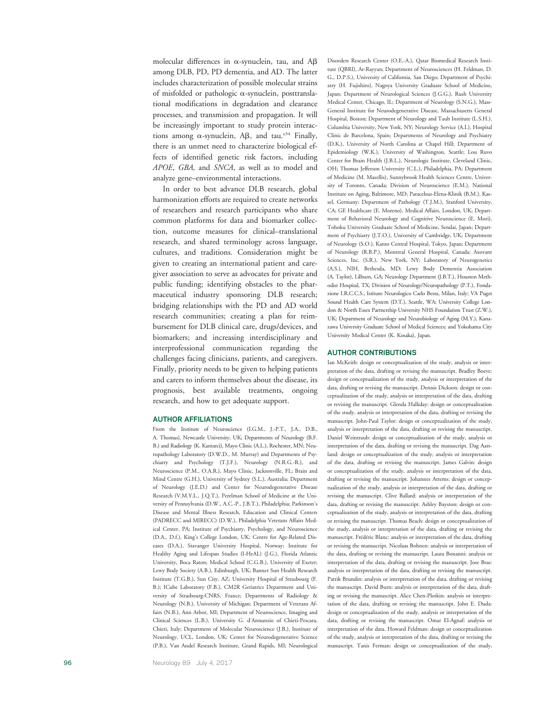molecular differences in  $\alpha$ -synuclein, tau, and Aß among DLB, PD, PD dementia, and AD. The latter includes characterization of possible molecular strains of misfolded or pathologic a-synuclein, posttranslational modifications in degradation and clearance processes, and transmission and propagation. It will be increasingly important to study protein interactions among  $\alpha$ -synuclein, A $\beta$ , and tau.<sup>e34</sup> Finally, there is an unmet need to characterize biological effects of identified genetic risk factors, including APOE, GBA, and SNCA, as well as to model and analyze gene –environmental interactions.

In order to best advance DLB research, global harmonization efforts are required to create networks of researchers and research participants who share common platforms for data and biomarker collection, outcome measures for clinical–translational research, and shared terminology across language, cultures, and traditions. Consideration might be given to creating an international patient and caregiver association to serve as advocates for private and public funding; identifying obstacles to the pharmaceutical industry sponsoring DLB research; bridging relationships with the PD and AD world research communities; creating a plan for reimbursement for DLB clinical care, drugs/devices, and biomarkers; and increasing interdisciplinary and interprofessional communication regarding the challenges facing clinicians, patients, and caregivers. Finally, priority needs to be given to helping patients and carers to inform themselves about the disease, its prognosis, best available treatments, ongoing research, and how to get adequate support.

# AUTHOR AFFILIATIONS

From the Institute of Neuroscience (I.G.M., J.-P.T., J.A., D.B., A. Thomas), Newcastle University, UK; Departments of Neurology (B.F. B.) and Radiology (K. Kantarci), Mayo Clinic (A.L.), Rochester, MN; Neuropathology Laboratory (D.W.D., M. Murray) and Departments of Psychiatry and Psychology (T.J.F.), Neurology (N.R.G.-R.), and Neuroscience (P.M., O.A.R.), Mayo Clinic, Jacksonville, FL; Brain and Mind Centre (G.H.), University of Sydney (S.L.), Australia; Department of Neurology (J.E.D.) and Center for Neurodegenerative Disease Research (V.M.Y.L., J.Q.T.), Perelman School of Medicine at the University of Pennsylvania (D.W., A.C.-P., J.B.T.), Philadelphia; Parkinson's Disease and Mental Illness Research, Education and Clinical Centers (PADRECC and MIRECC) (D.W.), Philadelphia Veterans Affairs Medical Center, PA; Institute of Psychiatry, Psychology, and Neuroscience (D.A., D.f.), King 's College London, UK; Centre for Age-Related Diseases (D.A.), Stavanger University Hospital, Norway; Institute for Healthy Aging and Lifespan Studies (I-HeAL) (J.G.), Florida Atlantic University, Boca Raton; Medical School (C.G.B.), University of Exeter; Lewy Body Society (A.B.), Edinburgh, UK; Banner Sun Health Research Institute (T.G.B.), Sun City, AZ; University Hospital of Strasbourg (F. B.); ICube Laboratory (F.B.), CM2R Geriatrics Department and University of Strasbourg-CNRS, France; Departments of Radiology & Neurology (N.B.), University of Michigan; Department of Veterans Affairs (N.B.), Ann Arbor, MI; Department of Neuroscience, Imaging and Clinical Sciences (L.B.), University G. d 'Annunzio of Chieti-Pescara, Chieti, Italy; Department of Molecular Neuroscience (J.B.), Institute of Neurology, UCL, London, UK; Center for Neurodegenerative Science (P.B.), Van Andel Research Institute, Grand Rapids, MI; Neurological

Disorders Research Center (O.E.-A.), Qatar Biomedical Research Institute (QBRI), Ar-Rayyan; Department of Neurosciences (H. Feldman, D. G., D.P.S.), University of California, San Diego; Department of Psychiatry (H. Fujishiro), Nagoya University Graduate School of Medicine, Japan; Department of Neurological Sciences (J.G.G.), Rush University Medical Center, Chicago, IL; Department of Neurology (S.N.G.), Mass-General Institute for Neurodegenerative Disease, Massachusetts General Hospital, Boston; Department of Neurology and Taub Institute (L.S.H.), Columbia University, New York, NY; Neurology Service (A.I.), Hospital Clinic de Barcelona, Spain; Departments of Neurology and Psychiatry (D.K.), University of North Carolina at Chapel Hill; Department of Epidemiology (W.K.), University of Washington, Seattle; Lou Ruvo Center for Brain Health (J.B.L.), Neurologic Institute, Cleveland Clinic, OH; Thomas Jefferson University (C.L.), Philadelphia, PA; Department of Medicine (M. Masellis), Sunnybrook Health Sciences Centre, University of Toronto, Canada; Division of Neuroscience (E.M.), National Institute on Aging, Baltimore, MD; Paracelsus-Elena-Klinik (B.M.), Kassel, Germany; Department of Pathology (T.J.M.), Stanford University, CA; GE Healthcare (E. Moreno), Medical Affairs, London, UK; Department of Behavioral Neurology and Cognitive Neuroscience (E. Mori), Tohoku University Graduate School of Medicine, Sendai, Japan; Department of Psychiatry (J.T.O.), University of Cambridge, UK; Department of Neurology (S.O.), Kanto Central Hospital, Tokyo, Japan; Department of Neurology (R.B.P.), Montreal General Hospital, Canada; Axovant Sciences, Inc. (S.R.), New York, NY; Laboratory of Neurogenetics (A.S.), NIH, Bethesda, MD; Lewy Body Dementia Association (A. Taylor), Lilburn, GA; Neurology Department (J.B.T.), Houston Methodist Hospital, TX; Division of Neurology/Neuropathology (P.T.), Fondazione I.R.C.C.S., Istituto Neurologico Carlo Besta, Milan, Italy; VA Puget Sound Health Care System (D.T.), Seattle, WA; University College London & North Essex Partnership University NHS Foundation Trust (Z.W.), UK; Department of Neurology and Neurobiology of Aging (M.Y.), Kanazawa University Graduate School of Medical Sciences; and Yokohama City University Medical Center (K. Kosaka), Japan.

## AUTHOR CONTRIBUTIONS

Ian McKeith: design or conceptualization of the study, analysis or interpretation of the data, drafting or revising the manuscript. Bradley Boeve: design or conceptualization of the study, analysis or interpretation of the data, drafting or revising the manuscript. Dennis Dickson: design or conceptualization of the study, analysis or interpretation of the data, drafting or revising the manuscript. Glenda Halliday: design or conceptualization of the study, analysis or interpretation of the data, drafting or revising the manuscript. John-Paul Taylor: design or conceptualization of the study, analysis or interpretation of the data, drafting or revising the manuscript. Daniel Weintraub: design or conceptualization of the study, analysis or interpretation of the data, drafting or revising the manuscript. Dag Aarsland: design or conceptualization of the study, analysis or interpretation of the data, drafting or revising the manuscript. James Galvin: design or conceptualization of the study, analysis or interpretation of the data, drafting or revising the manuscript. Johannes Attems: design or conceptualization of the study, analysis or interpretation of the data, drafting or revising the manuscript. Clive Ballard: analysis or interpretation of the data, drafting or revising the manuscript. Ashley Bayston: design or conceptualization of the study, analysis or interpretation of the data, drafting or revising the manuscript. Thomas Beach: design or conceptualization of the study, analysis or interpretation of the data, drafting or revising the manuscript. Frédéric Blanc: analysis or interpretation of the data, drafting or revising the manuscript. Nicolaas Bohnen: analysis or interpretation of the data, drafting or revising the manuscript. Laura Bonanni: analysis or interpretation of the data, drafting or revising the manuscript. Jose Bras: analysis or interpretation of the data, drafting or revising the manuscript. Patrik Brundin: analysis or interpretation of the data, drafting or revising the manuscript. David Burn: analysis or interpretation of the data, drafting or revising the manuscript. Alice Chen-Plotkin: analysis or interpretation of the data, drafting or revising the manuscript. John E. Duda: design or conceptualization of the study, analysis or interpretation of the data, drafting or revising the manuscript. Omar El-Agnaf: analysis or interpretation of the data. Howard Feldman: design or conceptualization of the study, analysis or interpretation of the data, drafting or revising the manuscript. Tanis Ferman: design or conceptualization of the study,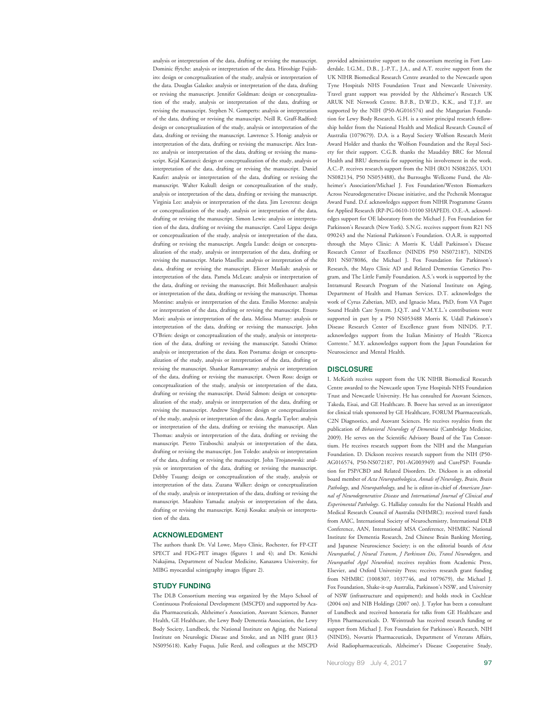analysis or interpretation of the data, drafting or revising the manuscript. Dominic ffytche: analysis or interpretation of the data. Hiroshige Fujishiro: design or conceptualization of the study, analysis or interpretation of the data. Douglas Galasko: analysis or interpretation of the data, drafting or revising the manuscript. Jennifer Goldman: design or conceptualization of the study, analysis or interpretation of the data, drafting or revising the manuscript. Stephen N. Gomperts: analysis or interpretation of the data, drafting or revising the manuscript. Neill R. Graff-Radford: design or conceptualization of the study, analysis or interpretation of the data, drafting or revising the manuscript. Lawrence S. Honig: analysis or interpretation of the data, drafting or revising the manuscript. Alex Iranzo: analysis or interpretation of the data, drafting or revising the manuscript. Kejal Kantarci: design or conceptualization of the study, analysis or interpretation of the data, drafting or revising the manuscript. Daniel Kaufer: analysis or interpretation of the data, drafting or revising the manuscript. Walter Kukull: design or conceptualization of the study, analysis or interpretation of the data, drafting or revising the manuscript. Virginia Lee: analysis or interpretation of the data. Jim Leverenz: design or conceptualization of the study, analysis or interpretation of the data, drafting or revising the manuscript. Simon Lewis: analysis or interpretation of the data, drafting or revising the manuscript. Carol Lippa: design or conceptualization of the study, analysis or interpretation of the data, drafting or revising the manuscript. Angela Lunde: design or conceptualization of the study, analysis or interpretation of the data, drafting or revising the manuscript. Mario Masellis: analysis or interpretation of the data, drafting or revising the manuscript. Eliezer Masliah: analysis or interpretation of the data. Pamela McLean: analysis or interpretation of the data, drafting or revising the manuscript. Brit Mollenhauer: analysis or interpretation of the data, drafting or revising the manuscript. Thomas Montine: analysis or interpretation of the data. Emilio Moreno: analysis or interpretation of the data, drafting or revising the manuscript. Etsuro Mori: analysis or interpretation of the data. Melissa Murray: analysis or interpretation of the data, drafting or revising the manuscript. John O'Brien: design or conceptualization of the study, analysis or interpretation of the data, drafting or revising the manuscript. Satoshi Orimo: analysis or interpretation of the data. Ron Postuma: design or conceptualization of the study, analysis or interpretation of the data, drafting or revising the manuscript. Shankar Ramaswamy: analysis or interpretation of the data, drafting or revising the manuscript. Owen Ross: design or conceptualization of the study, analysis or interpretation of the data, drafting or revising the manuscript. David Salmon: design or conceptualization of the study, analysis or interpretation of the data, drafting or revising the manuscript. Andrew Singleton: design or conceptualization of the study, analysis or interpretation of the data. Angela Taylor: analysis or interpretation of the data, drafting or revising the manuscript. Alan Thomas: analysis or interpretation of the data, drafting or revising the manuscript. Pietro Tiraboschi: analysis or interpretation of the data, drafting or revising the manuscript. Jon Toledo: analysis or interpretation of the data, drafting or revising the manuscript. John Trojanowski: analysis or interpretation of the data, drafting or revising the manuscript. Debby Tsuang: design or conceptualization of the study, analysis or interpretation of the data. Zuzana Walker: design or conceptualization of the study, analysis or interpretation of the data, drafting or revising the manuscript. Masahito Yamada: analysis or interpretation of the data, drafting or revising the manuscript. Kenji Kosaka: analysis or interpretation of the data.

#### ACKNOWLEDGMENT

The authors thank Dr. Val Lowe, Mayo Clinic, Rochester, for FP-CIT SPECT and FDG-PET images (figures 1 and 4); and Dr. Kenichi Nakajima, Department of Nuclear Medicine, Kanazawa University, for MIBG myocardial scintigraphy images (figure 2).

#### STUDY FUNDING

The DLB Consortium meeting was organized by the Mayo School of Continuous Professional Development (MSCPD) and supported by Acadia Pharmaceuticals, Alzheimer's Association, Axovant Sciences, Banner Health, GE Healthcare, the Lewy Body Dementia Association, the Lewy Body Society, Lundbeck, the National Institute on Aging, the National Institute on Neurologic Disease and Stroke, and an NIH grant (R13 NS095618). Kathy Fuqua, Julie Reed, and colleagues at the MSCPD

provided administrative support to the consortium meeting in Fort Lauderdale. I.G.M., D.B., J.-P.T., J.A., and A.T. receive support from the UK NIHR Biomedical Research Centre awarded to the Newcastle upon Tyne Hospitals NHS Foundation Trust and Newcastle University. Travel grant support was provided by the Alzheimer's Research UK ARUK NE Network Centre. B.F.B., D.W.D., K.K., and T.J.F. are supported by the NIH (P50-AG016574) and the Mangurian Foundation for Lewy Body Research. G.H. is a senior principal research fellowship holder from the National Health and Medical Research Council of Australia (1079679). D.A. is a Royal Society Wolfson Research Merit Award Holder and thanks the Wolfson Foundation and the Royal Society for their support. C.G.B. thanks the Maudsley BRC for Mental Health and BRU dementia for supporting his involvement in the work. A.C.-P. receives research support from the NIH (RO1 NS082265, UO1 NS082134, P50 NS053488), the Burroughs Wellcome Fund, the Alzheimer's Association/Michael J. Fox Foundation/Weston Biomarkers Across Neurodegenerative Disease initiative, and the Pechenik Montague Award Fund. D.f. acknowledges support from NIHR Programme Grants for Applied Research (RP-PG-0610-10100 SHAPED). O.E.-A. acknowledges support for OE laboratory from the Michael J. Fox Foundation for Parkinson's Research (New York). S.N.G. receives support from R21 NS 090243 and the National Parkinson's Foundation. O.A.R. is supported through the Mayo Clinic: A Morris K. Udall Parkinson's Disease Research Center of Excellence (NINDS P50 NS072187), NINDS R01 NS078086, the Michael J. Fox Foundation for Parkinson's Research, the Mayo Clinic AD and Related Dementias Genetics Program, and The Little Family Foundation. A.S.'s work is supported by the Intramural Research Program of the National Institute on Aging, Department of Health and Human Services. D.T. acknowledges the work of Cyrus Zabetian, MD, and Ignacio Mata, PhD, from VA Puget Sound Health Care System. J.Q.T. and V.M.Y.L.'s contributions were supported in part by a P50 NS053488 Morris K. Udall Parkinson's Disease Research Center of Excellence grant from NINDS. P.T. acknowledges support from the Italian Ministry of Health "Ricerca Corrente." M.Y. acknowledges support from the Japan Foundation for Neuroscience and Mental Health.

#### **DISCLOSURE**

I. McKeith receives support from the UK NIHR Biomedical Research Centre awarded to the Newcastle upon Tyne Hospitals NHS Foundation Trust and Newcastle University. He has consulted for Axovant Sciences, Takeda, Eisai, and GE Healthcare. B. Boeve has served as an investigator for clinical trials sponsored by GE Healthcare, FORUM Pharmaceuticals, C2N Diagnostics, and Axovant Sciences. He receives royalties from the publication of Behavioral Neurology of Dementia (Cambridge Medicine, 2009). He serves on the Scientific Advisory Board of the Tau Consortium. He receives research support from the NIH and the Mangurian Foundation. D. Dickson receives research support from the NIH (P50- AG016574, P50-NS072187, P01-AG003949) and CurePSP: Foundation for PSP/CBD and Related Disorders. Dr. Dickson is an editorial board member of Acta Neuropathologica, Annals of Neurology, Brain, Brain Pathology, and Neuropathology, and he is editor-in-chief of American Journal of Neurodegenerative Disease and International Journal of Clinical and Experimental Pathology. G. Halliday consults for the National Health and Medical Research Council of Australia (NHMRC); received travel funds from AAIC, International Society of Neurochemistry, International DLB Conference, AAN, International MSA Conference, NHMRC National Institute for Dementia Research, 2nd Chinese Brain Banking Meeting, and Japanese Neuroscience Society; is on the editorial boards of Acta Neuropathol, J Neural Transm, J Parkinson Dis, Transl Neurodegen, and Neuropathol Appl Neurobiol; receives royalties from Academic Press, Elsevier, and Oxford University Press; receives research grant funding from NHMRC (1008307, 1037746, and 1079679), the Michael J. Fox Foundation, Shake-it-up Australia, Parkinson's NSW, and University of NSW (infrastructure and equipment); and holds stock in Cochlear (2004 on) and NIB Holdings (2007 on). J. Taylor has been a consultant of Lundbeck and received honoraria for talks from GE Healthcare and Flynn Pharmaceuticals. D. Weintraub has received research funding or support from Michael J. Fox Foundation for Parkinson's Research, NIH (NINDS), Novartis Pharmaceuticals, Department of Veterans Affairs, Avid Radiopharmaceuticals, Alzheimer's Disease Cooperative Study,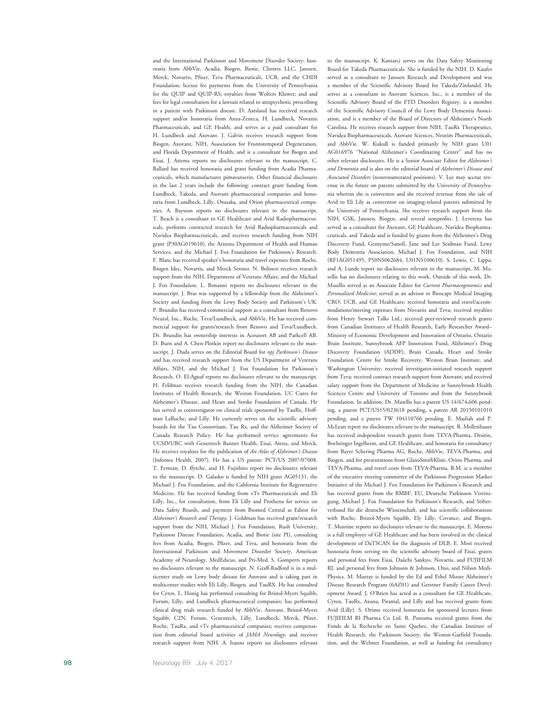and the International Parkinson and Movement Disorder Society; honoraria from AbbVie, Acadia, Biogen, Biotie, Clintrex LLC, Janssen, Merck, Novartis, Pfizer, Teva Pharmaceuticals, UCB, and the CHDI Foundation; license fee payments from the University of Pennsylvania for the QUIP and QUIP-RS; royalties from Wolters Kluwer; and and fees for legal consultation for a lawsuit related to antipsychotic prescribing in a patient with Parkinson disease. D. Aarsland has received research support and/or honoraria from Astra-Zeneca, H. Lundbeck, Novartis Pharmaceuticals, and GE Health, and serves as a paid consultant for H. Lundbeck and Axovant. J. Galvin receives research support from Biogen, Axovant, NIH, Association for Frontotemporal Degeneration, and Florida Department of Health, and is a consultant for Biogen and Eisai. J. Attems reports no disclosures relevant to the manuscript. C. Ballard has received honoraria and grant funding from Acadia Pharmaceuticals, which manufactures pimavanserin. Other financial disclosures in the last 2 years include the following: contract grant funding from Lundbeck, Takeda, and Axovant pharmaceutical companies and honoraria from Lundbeck, Lilly, Otusaka, and Orion pharmaceutical companies. A. Bayston reports no disclosures relevant to the manuscript. T. Beach is a consultant to GE Healthcare and Avid Radiopharmaceuticals, performs contracted research for Avid Radiopharmaceuticals and Navidea Biopharmaceuticals, and receives research funding from NIH grant (P30AG019610), the Arizona Department of Health and Human Services, and the Michael J. Fox Foundation for Parkinson's Research. F. Blanc has received speaker's honoraria and travel expenses from Roche, Biogen Idec, Novartis, and Merck Serono. N. Bohnen receives research support from the NIH, Department of Veterans Affairs, and the Michael J. Fox Foundation. L. Bonanni reports no disclosures relevant to the manuscript. J. Bras was supported by a fellowship from the Alzheimer's Society and funding from the Lewy Body Society and Parkinson's UK. P. Brundin has received commercial support as a consultant from Renovo Neural, Inc., Roche, Teva/Lundbeck, and AbbVie. He has received commercial support for grants/research from Renovo and Teva/Lundbeck. Dr. Brundin has ownership interests in Acousort AB and Parkcell AB. D. Burn and A. Chen-Plotkin report no disclosures relevant to the manuscript. J. Duda serves on the Editorial Board for npj Parkinson's Disease and has received research support from the US Department of Veterans Affairs, NIH, and the Michael J. Fox Foundation for Parkinson's Research. O. El-Agnaf reports no disclosures relevant to the manuscript. H. Feldman receives research funding from the NIH, the Canadian Institutes of Health Research, the Weston Foundation, UC Cures for Alzheimer's Disease, and Heart and Stroke Foundation of Canada. He has served as coinvestigator on clinical trials sponsored by TauRx, Hoffman LaRoche, and Lilly. He currently serves on the scientific advisory boards for the Tau Consortium, Tau Rx, and the Alzheimer Society of Canada Research Policy. He has performed service agreements for UCSD/UBC with Genentech Banner Health, Eisai, Arena, and Merck. He receives royalties for the publication of An Atlas of Alzheimer's Disease (Informa Health, 2007). He has a US patent: PCT/US 2007/07008. T. Ferman, D. ffytche, and H. Fujishiro report no disclosures relevant to the manuscript. D. Galasko is funded by NIH grant AG05131, the Michael J. Fox Foundation, and the California Institute for Regenerative Medicine. He has received funding from vTv Pharmaceuticals and Eli Lilly, Inc., for consultation, from Eli Lilly and Prothena for service on Data Safety Boards, and payment from Biomed Central as Editor for Alzheimer's Research and Therapy. J. Goldman has received grant/research support from the NIH, Michael J. Fox Foundation, Rush University, Parkinson Disease Foundation, Acadia, and Biotie (site PI), consulting fees from Acadia, Biogen, Pfizer, and Teva, and honoraria from the International Parkinson and Movement Disorder Society, American Academy of Neurology, MedEdicus, and Pri-Med. S. Gomperts reports no disclosures relevant to the manuscript. N. Graff-Radford is in a multicenter study on Lewy body disease for Axovant and is taking part in multicenter studies with Eli Lilly, Biogen, and TauRX. He has consulted for Cytox. L. Honig has performed consulting for Bristol-Myers Squibb, Forum, Lilly, and Lundbeck pharmaceutical companies; has performed clinical drug trials research funded by AbbVie, Axovant, Bristol-Myers Squibb, C2N, Forum, Genentech, Lilly, Lundbeck, Merck, Pfizer, Roche, TauRx, and vTv pharmaceutical companies; receives compensation from editorial board activities of JAMA Neurology; and receives research support from NIH. A. Iranzo reports no disclosures relevant to the manuscript. K. Kantarci serves on the Data Safety Monitoring Board for Takeda Pharmaceuticals. She is funded by the NIH. D. Kaufer served as a consultant to Janssen Research and Development and was a member of the Scientific Advisory Board for Takeda/Zinfandel. He serves as a consultant to Axovant Sciences, Inc., is a member of the Scientific Advisory Board of the FTD Disorders Registry, is a member of the Scientific Advisory Council of the Lewy Body Dementia Association, and is a member of the Board of Directors of Alzheimer's North Carolina. He receives research support from NIH, TauRx Therapeutics, Navidea Biopharmaceuticals, Axovant Sciences, Neurim Pharmaceuticals, and AbbVie. W. Kukull is funded primarily by NIH grant U01 AG016976 "National Alzheimer's Coordinating Center" and has no other relevant disclosures. He is a Senior Associate Editor for Alzheimer's and Dementia and is also on the editorial board of Alzheimer's Disease and Associated Disorders (nonrenumerated positions). V. Lee may accrue revenue in the future on patents submitted by the University of Pennsylvania wherein she is coinventor and she received revenue from the sale of Avid to Eli Lily as coinventor on imaging-related patents submitted by the University of Pennsylvania. She receives research support from the NIH, GSK, Janssen, Biogen, and several nonprofits. J. Leverenz has served as a consultant for Axovant, GE Healthcare, Navidea Biopharmaceuticals, and Takeda and is funded by grants from the Alzheimer's Drug Discovery Fund, Genzyme/Sanofi, Jane and Lee Seidman Fund, Lewy Body Dementia Association, Michael J. Fox Foundation, and NIH (RF1AG051495, P50NS062684, U01NS100610). S. Lewis, C. Lippa, and A. Lunde report no disclosures relevant to the manuscript. M. Masellis has no disclosures relating to this work. Outside of this work, Dr. Masellis served as an Associate Editor for Current Pharmacogenomics and Personalized Medicine; served as an advisor to Bioscape Medical Imaging CRO, UCB, and GE Healthcare; received honoraria and travel/accommodations/meeting expenses from Novartis and Teva; received royalties from Henry Stewart Talks Ltd.; received peer-reviewed research grants from Canadian Institutes of Health Research, Early Researcher Award– Ministry of Economic Development and Innovation of Ontario, Ontario Brain Institute, Sunnybrook AFP Innovation Fund, Alzheimer's Drug Discovery Foundation (ADDF), Brain Canada, Heart and Stroke Foundation Centre for Stroke Recovery, Weston Brain Institute, and Washington University; received investigator-initiated research support from Teva; received contract research support from Axovant; and received salary support from the Department of Medicine at Sunnybrook Health Sciences Centre and University of Toronto and from the Sunnybrook Foundation. In addition, Dr. Masellis has a patent US 14/674,606 pending, a patent PCT/US15/023618 pending, a patent AR 20150101010 pending, and a patent TW 104110766 pending. E. Masliah and P. McLean report no disclosures relevant to the manuscript. B. Mollenhauer has received independent research grants from TEVA-Pharma, Desitin, Boehringer Ingelheim, and GE Healthcare, and honoraria for consultancy from Bayer Schering Pharma AG, Roche, AbbVie, TEVA-Pharma, and Biogen, and for presentations from GlaxoSmithKline, Orion Pharma, and TEVA-Pharma, and travel costs from TEVA-Pharma. B.M. is a member of the executive steering committee of the Parkinson Progression Marker Initiative of the Michael J. Fox Foundation for Parkinson's Research and has received grants from the BMBF, EU, Deutsche Parkinson Vereinigung, Michael J. Fox Foundation for Parkinson's Research, and Stifterverband für die deutsche Wissenschaft, and has scientific collaborations with Roche, Bristol-Myers Squibb, Ely Lilly, Covance, and Biogen. T. Montine reports no disclosures relevant to the manuscript. E. Moreno is a full employee of GE Healthcare and has been involved in the clinical development of DaTSCAN for the diagnosis of DLB. E. Mori received honoraria from serving on the scientific advisory board of Eisai, grants and personal fees from Eisai, Daiichi Sankyo, Novartis, and FUJIFILM RI, and personal fees from Johnson & Johnson, Ono, and Nihon Medi-Physics. M. Murray is funded by the Ed and Ethel Moore Alzheimer's Disease Research Program (6AZ01) and Gerstner Family Career Development Award. J. O'Brien has acted as a consultant for GE Healthcare, Cytox, TauRx, Axona, Piramal, and Lilly and has received grants from Avid (Lilly). S. Orimo received honoraria for sponsored lectures from FUJIFILM RI Pharma Co Ltd. R. Postuma received grants from the Fonds de la Recherche en Sante Quebec, the Canadian Institute of Health Research, the Parkinson Society, the Weston-Garfield Foundation, and the Webster Foundation, as well as funding for consultancy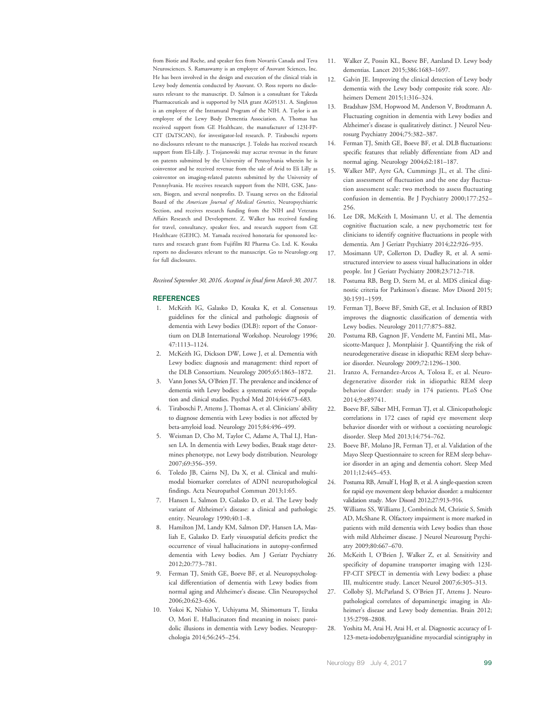from Biotie and Roche, and speaker fees from Novartis Canada and Teva Neurosciences. S. Ramaswamy is an employee of Axovant Sciences, Inc. He has been involved in the design and execution of the clinical trials in Lewy body dementia conducted by Axovant. O. Ross reports no disclosures relevant to the manuscript. D. Salmon is a consultant for Takeda Pharmaceuticals and is supported by NIA grant AG05131. A. Singleton is an employee of the Intramural Program of the NIH. A. Taylor is an employee of the Lewy Body Dementia Association. A. Thomas has received support from GE Healthcare, the manufacturer of 123I-FP-CIT (DaTSCAN), for investigator-led research. P. Tiraboschi reports no disclosures relevant to the manuscript. J. Toledo has received research support from Eli-Lilly. J. Trojanowski may accrue revenue in the future on patents submitted by the University of Pennsylvania wherein he is coinventor and he received revenue from the sale of Avid to Eli Lilly as coinventor on imaging-related patents submitted by the University of Pennsylvania. He receives research support from the NIH, GSK, Janssen, Biogen, and several nonprofits. D. Tsuang serves on the Editorial Board of the American Journal of Medical Genetics, Neuropsychiatric Section, and receives research funding from the NIH and Veterans Affairs Research and Development. Z. Walker has received funding for travel, consultancy, speaker fees, and research support from GE Healthcare (GEHC). M. Yamada received honoraria for sponsored lectures and research grant from Fujifilm RI Pharma Co. Ltd. K. Kosaka reports no disclosures relevant to the manuscript. Go to [Neurology.org](http://neurology.org/lookup/doi/10.1212/WNL.0000000000004058) for full disclosures.

Received September 30, 2016. Accepted in final form March 30, 2017.

## **REFERENCES**

- 1. McKeith IG, Galasko D, Kosaka K, et al. Consensus guidelines for the clinical and pathologic diagnosis of dementia with Lewy bodies (DLB): report of the Consortium on DLB International Workshop. Neurology 1996; 47:1113–1124.
- 2. McKeith IG, Dickson DW, Lowe J, et al. Dementia with Lewy bodies: diagnosis and management: third report of the DLB Consortium. Neurology 2005;65:1863–1872.
- 3. Vann Jones SA, O'Brien JT. The prevalence and incidence of dementia with Lewy bodies: a systematic review of population and clinical studies. Psychol Med 2014;44:673–683.
- 4. Tiraboschi P, Attems J, Thomas A, et al. Clinicians' ability to diagnose dementia with Lewy bodies is not affected by beta-amyloid load. Neurology 2015;84:496–499.
- 5. Weisman D, Cho M, Taylor C, Adame A, Thal LJ, Hansen LA. In dementia with Lewy bodies, Braak stage determines phenotype, not Lewy body distribution. Neurology 2007;69:356–359.
- 6. Toledo JB, Cairns NJ, Da X, et al. Clinical and multimodal biomarker correlates of ADNI neuropathological findings. Acta Neuropathol Commun 2013;1:65.
- 7. Hansen L, Salmon D, Galasko D, et al. The Lewy body variant of Alzheimer's disease: a clinical and pathologic entity. Neurology 1990;40:1–8.
- 8. Hamilton JM, Landy KM, Salmon DP, Hansen LA, Masliah E, Galasko D. Early visuospatial deficits predict the occurrence of visual hallucinations in autopsy-confirmed dementia with Lewy bodies. Am J Geriatr Psychiatry 2012;20:773–781.
- 9. Ferman TJ, Smith GE, Boeve BF, et al. Neuropsychological differentiation of dementia with Lewy bodies from normal aging and Alzheimer's disease. Clin Neuropsychol 2006;20:623–636.
- 10. Yokoi K, Nishio Y, Uchiyama M, Shimomura T, Iizuka O, Mori E. Hallucinators find meaning in noises: pareidolic illusions in dementia with Lewy bodies. Neuropsychologia 2014;56:245–254.
- 11. Walker Z, Possin KL, Boeve BF, Aarsland D. Lewy body dementias. Lancet 2015;386:1683–1697.
- 12. Galvin JE. Improving the clinical detection of Lewy body dementia with the Lewy body composite risk score. Alzheimers Dement 2015;1:316–324.
- 13. Bradshaw JSM, Hopwood M, Anderson V, Brodtmann A. Fluctuating cognition in dementia with Lewy bodies and Alzheimer's disease is qualitatively distinct. J Neurol Neurosurg Psychiatry 2004;75:382–387.
- 14. Ferman TJ, Smith GE, Boeve BF, et al. DLB fluctuations: specific features that reliably differentiate from AD and normal aging. Neurology 2004;62:181–187.
- 15. Walker MP, Ayre GA, Cummings JL, et al. The clinician assessment of fluctuation and the one day fluctuation assessment scale: two methods to assess fluctuating confusion in dementia. Br J Psychiatry 2000;177:252– 256.
- 16. Lee DR, McKeith I, Mosimann U, et al. The dementia cognitive fluctuation scale, a new psychometric test for clinicians to identify cognitive fluctuations in people with dementia. Am J Geriatr Psychiatry 2014;22:926–935.
- 17. Mosimann UP, Collerton D, Dudley R, et al. A semistructured interview to assess visual hallucinations in older people. Int J Geriatr Psychiatry 2008;23:712–718.
- 18. Postuma RB, Berg D, Stern M, et al. MDS clinical diagnostic criteria for Parkinson's disease. Mov Disord 2015; 30:1591–1599.
- 19. Ferman TJ, Boeve BF, Smith GE, et al. Inclusion of RBD improves the diagnostic classification of dementia with Lewy bodies. Neurology 2011;77:875–882.
- 20. Postuma RB, Gagnon JF, Vendette M, Fantini ML, Massicotte-Marquez J, Montplaisir J. Quantifying the risk of neurodegenerative disease in idiopathic REM sleep behavior disorder. Neurology 2009;72:1296–1300.
- 21. Iranzo A, Fernandez-Arcos A, Tolosa E, et al. Neurodegenerative disorder risk in idiopathic REM sleep behavior disorder: study in 174 patients. PLoS One 2014;9:e89741.
- 22. Boeve BF, Silber MH, Ferman TJ, et al. Clinicopathologic correlations in 172 cases of rapid eye movement sleep behavior disorder with or without a coexisting neurologic disorder. Sleep Med 2013;14:754–762.
- 23. Boeve BF, Molano JR, Ferman TJ, et al. Validation of the Mayo Sleep Questionnaire to screen for REM sleep behavior disorder in an aging and dementia cohort. Sleep Med 2011;12:445–453.
- 24. Postuma RB, Arnulf I, Hogl B, et al. A single-question screen for rapid eye movement sleep behavior disorder: a multicenter validation study. Mov Disord 2012;27:913–916.
- 25. Williams SS, Williams J, Combrinck M, Christie S, Smith AD, McShane R. Olfactory impairment is more marked in patients with mild dementia with Lewy bodies than those with mild Alzheimer disease. J Neurol Neurosurg Psychiatry 2009;80:667–670.
- 26. McKeith I, O'Brien J, Walker Z, et al. Sensitivity and specificity of dopamine transporter imaging with 123I-FP-CIT SPECT in dementia with Lewy bodies: a phase III, multicentre study. Lancet Neurol 2007;6:305–313.
- 27. Colloby SJ, McParland S, O'Brien JT, Attems J. Neuropathological correlates of dopaminergic imaging in Alzheimer's disease and Lewy body dementias. Brain 2012; 135:2798–2808.
- 28. Yoshita M, Arai H, Arai H, et al. Diagnostic accuracy of I-123-meta-iodobenzylguanidine myocardial scintigraphy in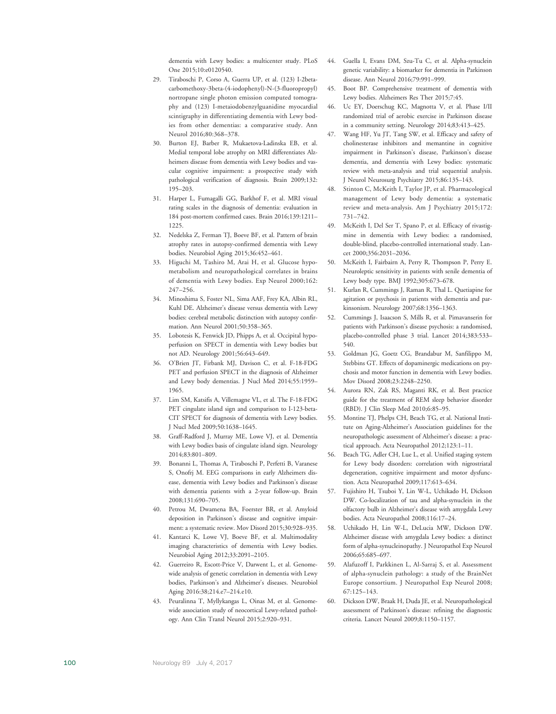dementia with Lewy bodies: a multicenter study. PLoS One 2015;10:e0120540.

- 29. Tiraboschi P, Corso A, Guerra UP, et al. (123) I-2betacarbomethoxy-3beta-(4-iodophenyl)-N-(3-fluoropropyl) nortropane single photon emission computed tomography and (123) I-metaiodobenzylguanidine myocardial scintigraphy in differentiating dementia with Lewy bodies from other dementias: a comparative study. Ann Neurol 2016;80:368–378.
- 30. Burton EJ, Barber R, Mukaetova-Ladinska EB, et al. Medial temporal lobe atrophy on MRI differentiates Alzheimers disease from dementia with Lewy bodies and vascular cognitive impairment: a prospective study with pathological verification of diagnosis. Brain 2009;132: 195–203.
- 31. Harper L, Fumagalli GG, Barkhof F, et al. MRI visual rating scales in the diagnosis of dementia: evaluation in 184 post-mortem confirmed cases. Brain 2016;139:1211– 1225.
- 32. Nedelska Z, Ferman TJ, Boeve BF, et al. Pattern of brain atrophy rates in autopsy-confirmed dementia with Lewy bodies. Neurobiol Aging 2015;36:452–461.
- 33. Higuchi M, Tashiro M, Arai H, et al. Glucose hypometabolism and neuropathological correlates in brains of dementia with Lewy bodies. Exp Neurol 2000;162: 247–256.
- 34. Minoshima S, Foster NL, Sima AAF, Frey KA, Albin RL, Kuhl DE. Alzheimer's disease versus dementia with Lewy bodies: cerebral metabolic distinction with autopsy confirmation. Ann Neurol 2001;50:358–365.
- 35. Lobotesis K, Fenwick JD, Phipps A, et al. Occipital hypoperfusion on SPECT in dementia with Lewy bodies but not AD. Neurology 2001;56:643–649.
- 36. O'Brien JT, Firbank MJ, Davison C, et al. F-18-FDG PET and perfusion SPECT in the diagnosis of Alzheimer and Lewy body dementias. J Nucl Med 2014;55:1959– 1965.
- 37. Lim SM, Katsifis A, Villemagne VL, et al. The F-18-FDG PET cingulate island sign and comparison to I-123-beta-CIT SPECT for diagnosis of dementia with Lewy bodies. J Nucl Med 2009;50:1638–1645.
- 38. Graff-Radford J, Murray ME, Lowe VJ, et al. Dementia with Lewy bodies basis of cingulate island sign. Neurology 2014;83:801–809.
- 39. Bonanni L, Thomas A, Tiraboschi P, Perfetti B, Varanese S, Onofrj M. EEG comparisons in early Alzheimers disease, dementia with Lewy bodies and Parkinson's disease with dementia patients with a 2-year follow-up. Brain 2008;131:690–705.
- 40. Petrou M, Dwamena BA, Foerster BR, et al. Amyloid deposition in Parkinson's disease and cognitive impairment: a systematic review. Mov Disord 2015;30:928–935.
- 41. Kantarci K, Lowe VJ, Boeve BF, et al. Multimodality imaging characteristics of dementia with Lewy bodies. Neurobiol Aging 2012;33:2091–2105.
- 42. Guerreiro R, Escott-Price V, Darwent L, et al. Genomewide analysis of genetic correlation in dementia with Lewy bodies, Parkinson's and Alzheimer's diseases. Neurobiol Aging 2016:38;214.e7–214.e10.
- 43. Peuralinna T, Myllykangas L, Oinas M, et al. Genomewide association study of neocortical Lewy-related pathology. Ann Clin Transl Neurol 2015;2:920–931.
- 44. Guella I, Evans DM, Szu-Tu C, et al. Alpha-synuclein genetic variability: a biomarker for dementia in Parkinson disease. Ann Neurol 2016;79:991–999.
- 45. Boot BP. Comprehensive treatment of dementia with Lewy bodies. Alzheimers Res Ther 2015;7:45.
- 46. Uc EY, Doerschug KC, Magnotta V, et al. Phase I/II randomized trial of aerobic exercise in Parkinson disease in a community setting. Neurology 2014;83:413–425.
- 47. Wang HF, Yu JT, Tang SW, et al. Efficacy and safety of cholinesterase inhibitors and memantine in cognitive impairment in Parkinson's disease, Parkinson's disease dementia, and dementia with Lewy bodies: systematic review with meta-analysis and trial sequential analysis. J Neurol Neurosurg Psychiatry 2015;86:135–143.
- 48. Stinton C, McKeith I, Taylor JP, et al. Pharmacological management of Lewy body dementia: a systematic review and meta-analysis. Am J Psychiatry 2015;172: 731–742.
- 49. McKeith I, Del Ser T, Spano P, et al. Efficacy of rivastigmine in dementia with Lewy bodies: a randomised, double-blind, placebo-controlled international study. Lancet 2000;356:2031–2036.
- 50. McKeith I, Fairbairn A, Perry R, Thompson P, Perry E. Neuroleptic sensitivity in patients with senile dementia of Lewy body type. BMJ 1992;305:673–678.
- 51. Kurlan R, Cummings J, Raman R, Thal L. Quetiapine for agitation or psychosis in patients with dementia and parkinsonism. Neurology 2007;68:1356–1363.
- 52. Cummings J, Isaacson S, Mills R, et al. Pimavanserin for patients with Parkinson's disease psychosis: a randomised, placebo-controlled phase 3 trial. Lancet 2014;383:533– 540.
- 53. Goldman JG, Goetz CG, Brandabur M, Sanfilippo M, Stebbins GT. Effects of dopaminergic medications on psychosis and motor function in dementia with Lewy bodies. Mov Disord 2008;23:2248–2250.
- 54. Aurora RN, Zak RS, Maganti RK, et al. Best practice guide for the treatment of REM sleep behavior disorder (RBD). J Clin Sleep Med 2010;6:85–95.
- 55. Montine TJ, Phelps CH, Beach TG, et al. National Institute on Aging-Alzheimer's Association guidelines for the neuropathologic assessment of Alzheimer's disease: a practical approach. Acta Neuropathol 2012;123:1–11.
- 56. Beach TG, Adler CH, Lue L, et al. Unified staging system for Lewy body disorders: correlation with nigrostriatal degeneration, cognitive impairment and motor dysfunction. Acta Neuropathol 2009;117:613–634.
- 57. Fujishiro H, Tsuboi Y, Lin W-L, Uchikado H, Dickson DW. Co-localization of tau and alpha-synuclein in the olfactory bulb in Alzheimer's disease with amygdala Lewy bodies. Acta Neuropathol 2008;116:17–24.
- 58. Uchikado H, Lin W-L, DeLucia MW, Dickson DW. Alzheimer disease with amygdala Lewy bodies: a distinct form of alpha-synucleinopathy. J Neuropathol Exp Neurol 2006;65:685–697.
- 59. Alafuzoff I, Parkkinen L, Al-Sarraj S, et al. Assessment of alpha-synuclein pathology: a study of the BrainNet Europe consortium. J Neuropathol Exp Neurol 2008; 67:125–143.
- 60. Dickson DW, Braak H, Duda JE, et al. Neuropathological assessment of Parkinson's disease: refining the diagnostic criteria. Lancet Neurol 2009;8:1150–1157.